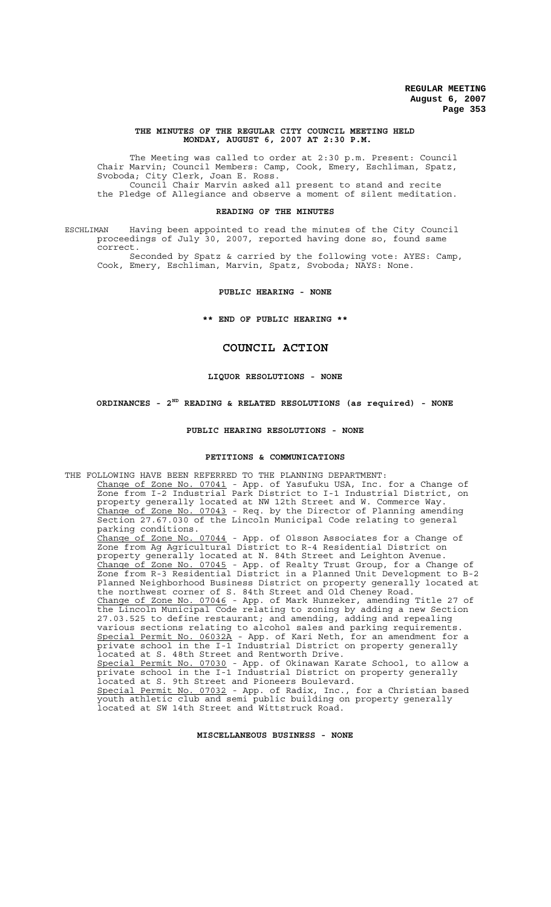#### **THE MINUTES OF THE REGULAR CITY COUNCIL MEETING HELD MONDAY, AUGUST 6, 2007 AT 2:30 P.M.**

The Meeting was called to order at 2:30 p.m. Present: Council Chair Marvin; Council Members: Camp, Cook, Emery, Eschliman, Spatz, Svoboda; City Clerk, Joan E. Ross. Council Chair Marvin asked all present to stand and recite the Pledge of Allegiance and observe a moment of silent meditation.

#### **READING OF THE MINUTES**

ESCHLIMAN Having been appointed to read the minutes of the City Council proceedings of July 30, 2007, reported having done so, found same correct.

Seconded by Spatz & carried by the following vote: AYES: Camp, Cook, Emery, Eschliman, Marvin, Spatz, Svoboda; NAYS: None.

**PUBLIC HEARING - NONE**

**\*\* END OF PUBLIC HEARING \*\***

# **COUNCIL ACTION**

#### **LIQUOR RESOLUTIONS - NONE**

**ORDINANCES - 2ND READING & RELATED RESOLUTIONS (as required) - NONE**

#### **PUBLIC HEARING RESOLUTIONS - NONE**

### **PETITIONS & COMMUNICATIONS**

THE FOLLOWING HAVE BEEN REFERRED TO THE PLANNING DEPARTMENT: Change of Zone No. 07041 - App. of Yasufuku USA, Inc. for a Change of Zone from I-2 Industrial Park District to I-1 Industrial District, on property generally located at NW 12th Street and W. Commerce Way. Change of Zone No. 07043 - Req. by the Director of Planning amending Section 27.67.030 of the Lincoln Municipal Code relating to general parking conditions. Change of Zone No. 07044 - App. of Olsson Associates for a Change of Zone from Ag Agricultural District to R-4 Residential District on property generally located at N. 84th Street and Leighton Avenue. Change of Zone No. 07045 - App. of Realty Trust Group, for a Change of Zone from R-3 Residential District in a Planned Unit Development to B-2 Planned Neighborhood Business District on property generally located at the northwest corner of S. 84th Street and Old Cheney Road. Change of Zone No. 07046 - App. of Mark Hunzeker, amending Title 27 of the Lincoln Municipal Code relating to zoning by adding a new Section 27.03.525 to define restaurant; and amending, adding and repealing various sections relating to alcohol sales and parking requirements. Special Permit No. 06032A - App. of Kari Neth, for an amendment for a private school in the I-1 Industrial District on property generally located at S. 48th Street and Rentworth Drive. Special Permit No. 07030 - App. of Okinawan Karate School, to allow a private school in the I-1 Industrial District on property generally located at S. 9th Street and Pioneers Boulevard. Special Permit No. 07032 - App. of Radix, Inc., for a Christian based youth athletic club and semi public building on property generally located at SW 14th Street and Wittstruck Road.

# **MISCELLANEOUS BUSINESS - NONE**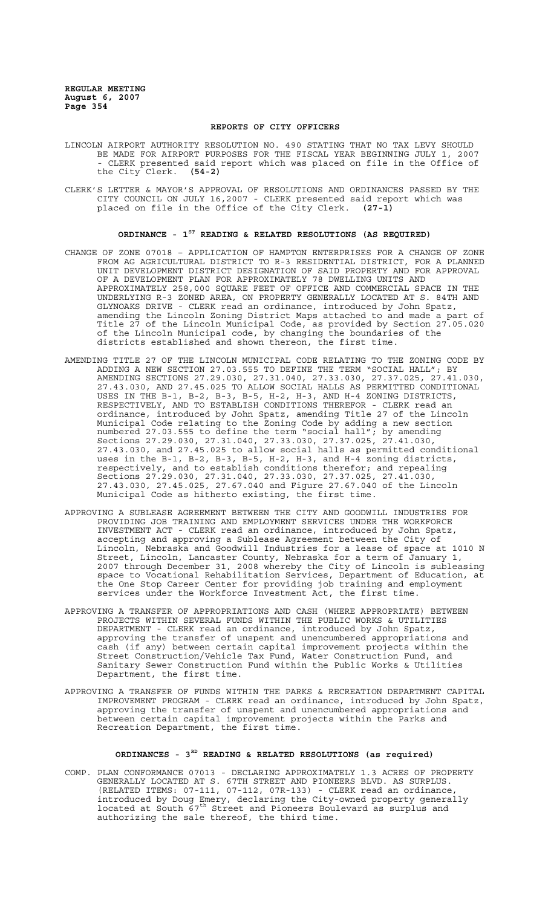#### **REPORTS OF CITY OFFICERS**

- LINCOLN AIRPORT AUTHORITY RESOLUTION NO. 490 STATING THAT NO TAX LEVY SHOULD BE MADE FOR AIRPORT PURPOSES FOR THE FISCAL YEAR BEGINNING JULY 1, 2007 - CLERK presented said report which was placed on file in the Office of<br>the City Clerk. (54-2) the City Clerk.
- CLERK'S LETTER & MAYOR'S APPROVAL OF RESOLUTIONS AND ORDINANCES PASSED BY THE CITY COUNCIL ON JULY 16,2007 - CLERK presented said report which was placed on file in the Office of the City Clerk. **(27-1)**

# **ORDINANCE - 1ST READING & RELATED RESOLUTIONS (AS REQUIRED)**

- CHANGE OF ZONE 07018 APPLICATION OF HAMPTON ENTERPRISES FOR A CHANGE OF ZONE FROM AG AGRICULTURAL DISTRICT TO R-3 RESIDENTIAL DISTRICT, FOR A PLANNED UNIT DEVELOPMENT DISTRICT DESIGNATION OF SAID PROPERTY AND FOR APPROVAL OF A DEVELOPMENT PLAN FOR APPROXIMATELY 78 DWELLING UNITS AND APPROXIMATELY 258,000 SQUARE FEET OF OFFICE AND COMMERCIAL SPACE IN THE UNDERLYING R-3 ZONED AREA, ON PROPERTY GENERALLY LOCATED AT S. 84TH AND GLYNOAKS DRIVE - CLERK read an ordinance, introduced by John Spatz, amending the Lincoln Zoning District Maps attached to and made a part of Title 27 of the Lincoln Municipal Code, as provided by Section 27.05.020 of the Lincoln Municipal code, by changing the boundaries of the districts established and shown thereon, the first time.
- AMENDING TITLE 27 OF THE LINCOLN MUNICIPAL CODE RELATING TO THE ZONING CODE BY ADDING A NEW SECTION 27.03.555 TO DEFINE THE TERM "SOCIAL HALL"; BY AMENDING SECTIONS 27.29.030, 27.31.040, 27.33.030, 27.37.025, 27.41.030, 27.43.030, AND 27.45.025 TO ALLOW SOCIAL HALLS AS PERMITTED CONDITIONAL USES IN THE B-1, B-2, B-3, B-5, H-2, H-3, AND H-4 ZONING DISTRICTS, RESPECTIVELY, AND TO ESTABLISH CONDITIONS THEREFOR - CLERK read an ordinance, introduced by John Spatz, amending Title 27 of the Lincoln Municipal Code relating to the Zoning Code by adding a new section numbered 27.03.555 to define the term "social hall"; by amending Sections 27.29.030, 27.31.040, 27.33.030, 27.37.025, 27.41.030, 27.43.030, and 27.45.025 to allow social halls as permitted conditional uses in the B-1, B-2, B-3, B-5, H-2, H-3, and H-4 zoning districts, respectively, and to establish conditions therefor; and repealing Sections 27.29.030, 27.31.040, 27.33.030, 27.37.025, 27.41.030, 27.43.030, 27.45.025, 27.67.040 and Figure 27.67.040 of the Lincoln Municipal Code as hitherto existing, the first time.
- APPROVING A SUBLEASE AGREEMENT BETWEEN THE CITY AND GOODWILL INDUSTRIES FOR PROVIDING JOB TRAINING AND EMPLOYMENT SERVICES UNDER THE WORKFORCE INVESTMENT ACT - CLERK read an ordinance, introduced by John Spatz, accepting and approving a Sublease Agreement between the City of Lincoln, Nebraska and Goodwill Industries for a lease of space at 1010 N Street, Lincoln, Lancaster County, Nebraska for a term of January 1, 2007 through December 31, 2008 whereby the City of Lincoln is subleasing space to Vocational Rehabilitation Services, Department of Education, at the One Stop Career Center for providing job training and employment services under the Workforce Investment Act, the first time.
- APPROVING A TRANSFER OF APPROPRIATIONS AND CASH (WHERE APPROPRIATE) BETWEEN PROJECTS WITHIN SEVERAL FUNDS WITHIN THE PUBLIC WORKS & UTILITIES DEPARTMENT - CLERK read an ordinance, introduced by John Spatz, approving the transfer of unspent and unencumbered appropriations and cash (if any) between certain capital improvement projects within the Street Construction/Vehicle Tax Fund, Water Construction Fund, and Sanitary Sewer Construction Fund within the Public Works & Utilities Department, the first time.
- APPROVING A TRANSFER OF FUNDS WITHIN THE PARKS & RECREATION DEPARTMENT CAPITAL IMPROVEMENT PROGRAM - CLERK read an ordinance, introduced by John Spatz, approving the transfer of unspent and unencumbered appropriations and between certain capital improvement projects within the Parks and Recreation Department, the first time.

# **ORDINANCES - 3RD READING & RELATED RESOLUTIONS (as required)**

COMP. PLAN CONFORMANCE 07013 - DECLARING APPROXIMATELY 1.3 ACRES OF PROPERTY GENERALLY LOCATED AT S. 67TH STREET AND PIONEERS BLVD. AS SURPLUS. (RELATED ITEMS: 07-111, 07-112, 07R-133) - CLERK read an ordinance, introduced by Doug Emery, declaring the City-owned property generally located at South  $67^{\text{th}}$  Street and Pioneers Boulevard as surplus and authorizing the sale thereof, the third time.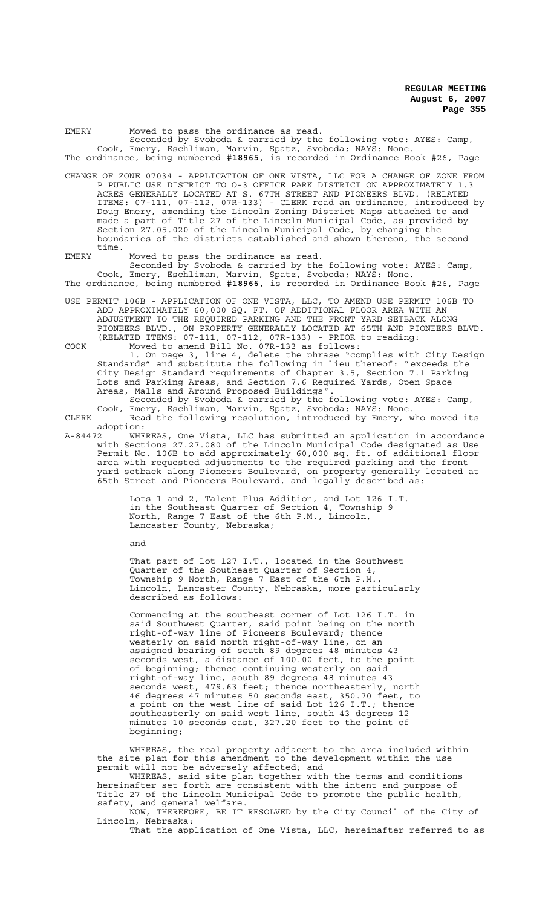| Moved to pass the ordinance as read.<br>EMERY<br>Seconded by Svoboda & carried by the following vote: AYES: Camp,<br>Cook, Emery, Eschliman, Marvin, Spatz, Svoboda; NAYS: None.                                                                                                                                                                                                                                                                                                                                                                                                                                      |
|-----------------------------------------------------------------------------------------------------------------------------------------------------------------------------------------------------------------------------------------------------------------------------------------------------------------------------------------------------------------------------------------------------------------------------------------------------------------------------------------------------------------------------------------------------------------------------------------------------------------------|
| The ordinance, being numbered #18965, is recorded in Ordinance Book #26, Page                                                                                                                                                                                                                                                                                                                                                                                                                                                                                                                                         |
| CHANGE OF ZONE 07034 - APPLICATION OF ONE VISTA, LLC FOR A CHANGE OF ZONE FROM<br>P PUBLIC USE DISTRICT TO 0-3 OFFICE PARK DISTRICT ON APPROXIMATELY 1.3<br>ACRES GENERALLY LOCATED AT S. 67TH STREET AND PIONEERS BLVD. (RELATED<br>ITEMS: 07-111, 07-112, 07R-133) - CLERK read an ordinance, introduced by<br>Doug Emery, amending the Lincoln Zoning District Maps attached to and<br>made a part of Title 27 of the Lincoln Municipal Code, as provided by<br>Section 27.05.020 of the Lincoln Municipal Code, by changing the<br>boundaries of the districts established and shown thereon, the second<br>time. |
| Moved to pass the ordinance as read.<br>EMERY<br>Seconded by Svoboda & carried by the following vote: AYES: Camp,<br>Cook, Emery, Eschliman, Marvin, Spatz, Svoboda; NAYS: None.                                                                                                                                                                                                                                                                                                                                                                                                                                      |
| The ordinance, being numbered #18966, is recorded in Ordinance Book #26, Page                                                                                                                                                                                                                                                                                                                                                                                                                                                                                                                                         |
| USE PERMIT 106B - APPLICATION OF ONE VISTA, LLC, TO AMEND USE PERMIT 106B TO<br>ADD APPROXIMATELY 60,000 SQ. FT. OF ADDITIONAL FLOOR AREA WITH AN<br>ADJUSTMENT TO THE REQUIRED PARKING AND THE FRONT YARD SETBACK ALONG<br>PIONEERS BLVD., ON PROPERTY GENERALLY LOCATED AT 65TH AND PIONEERS BLVD.<br>(RELATED ITEMS: 07-111, 07-112, 07R-133) - PRIOR to reading:<br>Moved to amend Bill No. 07R-133 as follows:<br>COOK                                                                                                                                                                                           |
| 1. On page 3, line 4, delete the phrase "complies with City Design<br>Standards" and substitute the following in lieu thereof: "exceeds the<br>City Design Standard requirements of Chapter 3.5, Section 7.1 Parking<br>Lots and Parking Areas, and Section 7.6 Required Yards, Open Space<br>Areas, Malls and Around Proposed Buildings".<br>Seconded by Svoboda & carried by the following vote: AYES: Camp,<br>Cook, Emery, Eschliman, Marvin, Spatz, Svoboda; NAYS: None.                                                                                                                                         |
| Read the following resolution, introduced by Emery, who moved its<br>CLERK                                                                                                                                                                                                                                                                                                                                                                                                                                                                                                                                            |
| adoption:<br>WHEREAS, One Vista, LLC has submitted an application in accordance<br><u>A-84472</u><br>with Sections 27.27.080 of the Lincoln Municipal Code designated as Use<br>Permit No. 106B to add approximately 60,000 sq. ft. of additional floor<br>area with requested adjustments to the required parking and the front<br>yard setback along Pioneers Boulevard, on property generally located at<br>65th Street and Pioneers Boulevard, and legally described as:                                                                                                                                          |
| Lots 1 and 2, Talent Plus Addition, and Lot 126 I.T.<br>in the Southeast Quarter of Section 4, Township 9<br>Month Dongs 7 Road of the Cth D M $\sigma$ Incoln                                                                                                                                                                                                                                                                                                                                                                                                                                                        |

North, Range 7 East of the 6th P.M., Lincoln, Lancaster County, Nebraska;

and

That part of Lot 127 I.T., located in the Southwest Quarter of the Southeast Quarter of Section 4, Township 9 North, Range 7 East of the 6th P.M., Lincoln, Lancaster County, Nebraska, more particularly described as follows:

Commencing at the southeast corner of Lot 126 I.T. in said Southwest Quarter, said point being on the north right-of-way line of Pioneers Boulevard; thence westerly on said north right-of-way line, on an assigned bearing of south 89 degrees 48 minutes 43 seconds west, a distance of 100.00 feet, to the point of beginning; thence continuing westerly on said right-of-way line, south 89 degrees 48 minutes 43 seconds west, 479.63 feet; thence northeasterly, north 46 degrees 47 minutes 50 seconds east, 350.70 feet, to a point on the west line of said Lot 126 I.T.; thence southeasterly on said west line, south 43 degrees 12 minutes 10 seconds east, 327.20 feet to the point of beginning;

WHEREAS, the real property adjacent to the area included within the site plan for this amendment to the development within the use permit will not be adversely affected; and

WHEREAS, said site plan together with the terms and conditions hereinafter set forth are consistent with the intent and purpose of Title 27 of the Lincoln Municipal Code to promote the public health, safety, and general welfare.

NOW, THEREFORE, BE IT RESOLVED by the City Council of the City of Lincoln, Nebraska:

That the application of One Vista, LLC, hereinafter referred to as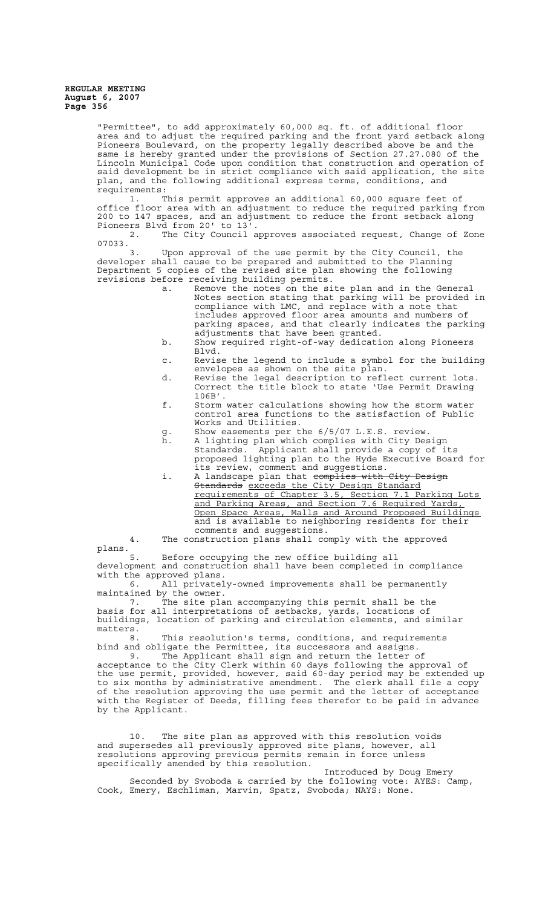"Permittee", to add approximately 60,000 sq. ft. of additional floor area and to adjust the required parking and the front yard setback along Pioneers Boulevard, on the property legally described above be and the same is hereby granted under the provisions of Section 27.27.080 of the Lincoln Municipal Code upon condition that construction and operation of said development be in strict compliance with said application, the site plan, and the following additional express terms, conditions, and requirements:

1. This permit approves an additional 60,000 square feet of office floor area with an adjustment to reduce the required parking from 200 to 147 spaces, and an adjustment to reduce the front setback along Pioneers Blvd from 20' to 13'.

2. The City Council approves associated request, Change of Zone  $07033.  
3$ 

Upon approval of the use permit by the City Council, the developer shall cause to be prepared and submitted to the Planning Department 5 copies of the revised site plan showing the following revisions before receiving building permits.

- a. Remove the notes on the site plan and in the General Notes section stating that parking will be provided in compliance with LMC, and replace with a note that includes approved floor area amounts and numbers of parking spaces, and that clearly indicates the parking adjustments that have been granted.
- b. Show required right-of-way dedication along Pioneers Blvd.
- c. Revise the legend to include a symbol for the building envelopes as shown on the site plan.
- d. Revise the legal description to reflect current lots. Correct the title block to state 'Use Permit Drawing 106B'.
- f. Storm water calculations showing how the storm water control area functions to the satisfaction of Public Works and Utilities.
- g. Show easements per the 6/5/07 L.E.S. review.<br>h. A lighting plan which complies with City Des
- A lighting plan which complies with City Design<br>Standards. Applicant shall provide a copy of i Applicant shall provide a copy of its proposed lighting plan to the Hyde Executive Board for its review, comment and suggestions.
- i. A landscape plan that complies with City Design Standards exceeds the City Design Standard requirements of Chapter 3.5, Section 7.1 Parking Lots and Parking Areas, and Section 7.6 Required Yards, Open Space Areas, Malls and Around Proposed Buildings and is available to neighboring residents for their comments and suggestions.

4. The construction plans shall comply with the approved plans.

5. Before occupying the new office building all development and construction shall have been completed in compliance with the approved plans.<br>6. All privatel

 $\bar{a}$  All privately-owned improvements shall be permanently maintained by the owner.

7. The site plan accompanying this permit shall be the basis for all interpretations of setbacks, yards, locations of buildings, location of parking and circulation elements, and similar matters.<br>8

This resolution's terms, conditions, and requirements bind and obligate the Permittee, its successors and assigns.

9. The Applicant shall sign and return the letter of acceptance to the City Clerk within 60 days following the approval of the use permit, provided, however, said 60-day period may be extended up to six months by administrative amendment. The clerk shall file a copy of the resolution approving the use permit and the letter of acceptance with the Register of Deeds, filling fees therefor to be paid in advance by the Applicant.

10. The site plan as approved with this resolution voids and supersedes all previously approved site plans, however, all resolutions approving previous permits remain in force unless specifically amended by this resolution.

Introduced by Doug Emery Seconded by Svoboda & carried by the following vote: AYES: Camp, Cook, Emery, Eschliman, Marvin, Spatz, Svoboda; NAYS: None.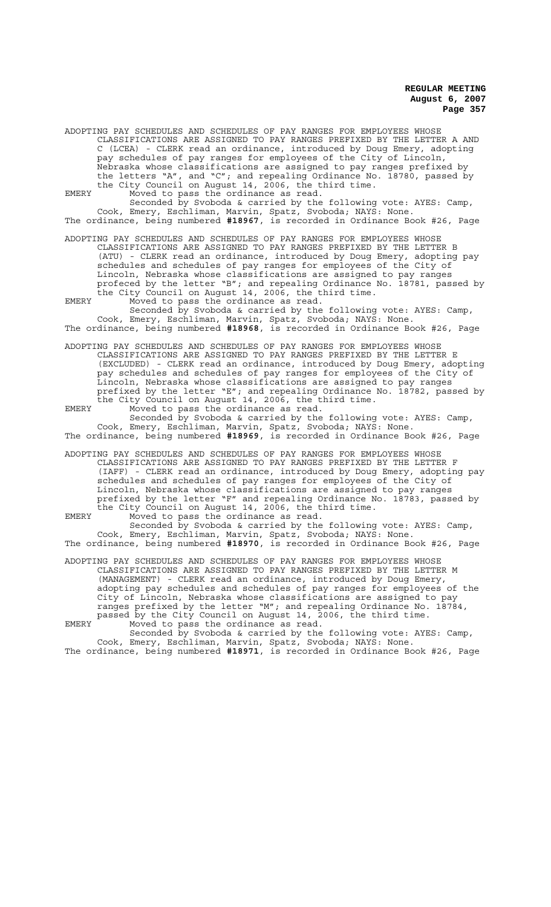ADOPTING PAY SCHEDULES AND SCHEDULES OF PAY RANGES FOR EMPLOYEES WHOSE CLASSIFICATIONS ARE ASSIGNED TO PAY RANGES PREFIXED BY THE LETTER A AND C (LCEA) - CLERK read an ordinance, introduced by Doug Emery, adopting pay schedules of pay ranges for employees of the City of Lincoln, Nebraska whose classifications are assigned to pay ranges prefixed by the letters "A", and "C"; and repealing Ordinance No. 18780, passed by the City Council on August 14, 2006, the third time. EMERY Moved to pass the ordinance as read.

Seconded by Svoboda & carried by the following vote: AYES: Camp, Cook, Emery, Eschliman, Marvin, Spatz, Svoboda; NAYS: None. The ordinance, being numbered **#18967**, is recorded in Ordinance Book #26, Page

ADOPTING PAY SCHEDULES AND SCHEDULES OF PAY RANGES FOR EMPLOYEES WHOSE CLASSIFICATIONS ARE ASSIGNED TO PAY RANGES PREFIXED BY THE LETTER B (ATU) - CLERK read an ordinance, introduced by Doug Emery, adopting pay schedules and schedules of pay ranges for employees of the City of Lincoln, Nebraska whose classifications are assigned to pay ranges profeced by the letter "B"; and repealing Ordinance No. 18781, passed by

the City Council on August 14, 2006, the third time. EMERY Moved to pass the ordinance as read. Seconded by Svoboda & carried by the following vote: AYES: Camp, Cook, Emery, Eschliman, Marvin, Spatz, Svoboda; NAYS: None.

The ordinance, being numbered **#18968**, is recorded in Ordinance Book #26, Page

ADOPTING PAY SCHEDULES AND SCHEDULES OF PAY RANGES FOR EMPLOYEES WHOSE CLASSIFICATIONS ARE ASSIGNED TO PAY RANGES PREFIXED BY THE LETTER E (EXCLUDED) - CLERK read an ordinance, introduced by Doug Emery, adopting pay schedules and schedules of pay ranges for employees of the City of Lincoln, Nebraska whose classifications are assigned to pay ranges prefixed by the letter "E"; and repealing Ordinance No. 18782, passed by the City Council on August 14, 2006, the third time.

EMERY Moved to pass the ordinance as read. Seconded by Svoboda & carried by the following vote: AYES: Camp, Cook, Emery, Eschliman, Marvin, Spatz, Svoboda; NAYS: None. The ordinance, being numbered **#18969**, is recorded in Ordinance Book #26, Page

ADOPTING PAY SCHEDULES AND SCHEDULES OF PAY RANGES FOR EMPLOYEES WHOSE CLASSIFICATIONS ARE ASSIGNED TO PAY RANGES PREFIXED BY THE LETTER F<br>(IAFF) - CLERK read an ordinance, introduced by Doug Emery, adopting - CLERK read an ordinance, introduced by Doug Emery, adopting pay schedules and schedules of pay ranges for employees of the City of Lincoln, Nebraska whose classifications are assigned to pay ranges prefixed by the letter "F" and repealing Ordinance No. 18783, passed by the City Council on August 14, 2006, the third time.

EMERY Moved to pass the ordinance as read. Seconded by Svoboda & carried by the following vote: AYES: Camp, Cook, Emery, Eschliman, Marvin, Spatz, Svoboda; NAYS: None. The ordinance, being numbered **#18970**, is recorded in Ordinance Book #26, Page

ADOPTING PAY SCHEDULES AND SCHEDULES OF PAY RANGES FOR EMPLOYEES WHOSE CLASSIFICATIONS ARE ASSIGNED TO PAY RANGES PREFIXED BY THE LETTER M (MANAGEMENT) - CLERK read an ordinance, introduced by Doug Emery, adopting pay schedules and schedules of pay ranges for employees of the City of Lincoln, Nebraska whose classifications are assigned to pay ranges prefixed by the letter "M"; and repealing Ordinance No. 18784, passed by the City Council on August 14, 2006, the third time. EMERY Moved to pass the ordinance as read.

Seconded by Svoboda & carried by the following vote: AYES: Camp, Cook, Emery, Eschliman, Marvin, Spatz, Svoboda; NAYS: None.

The ordinance, being numbered **#18971**, is recorded in Ordinance Book #26, Page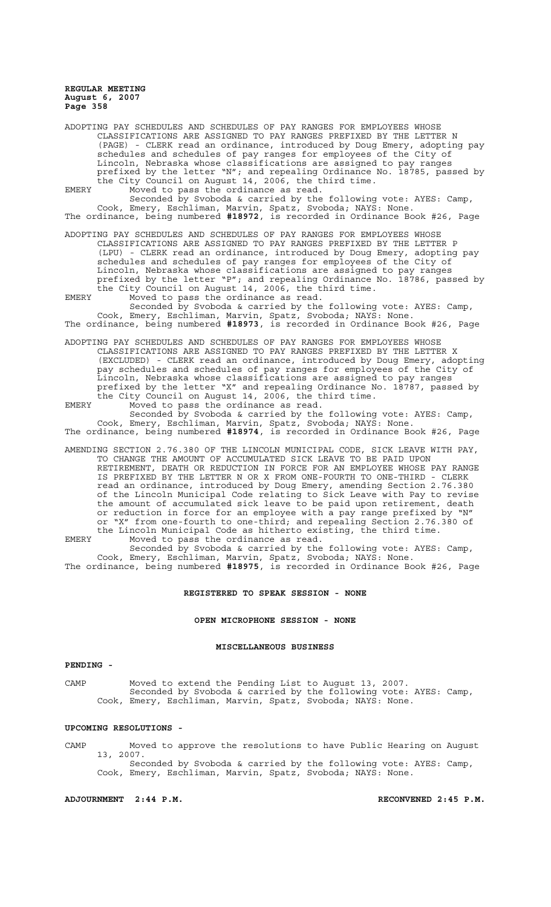ADOPTING PAY SCHEDULES AND SCHEDULES OF PAY RANGES FOR EMPLOYEES WHOSE CLASSIFICATIONS ARE ASSIGNED TO PAY RANGES PREFIXED BY THE LETTER N<br>(PAGE) - CLERK read an ordinance, introduced by Doug Emery, adopting pay (PAGE) - CLERK read an ordinance, introduced by Doug Emery, schedules and schedules of pay ranges for employees of the City of Lincoln, Nebraska whose classifications are assigned to pay ranges prefixed by the letter "N"; and repealing Ordinance No. 18785, passed by the City Council on August 14, 2006, the third time.

EMERY Moved to pass the ordinance as read. Seconded by Svoboda & carried by the following vote: AYES: Camp, Cook, Emery, Eschliman, Marvin, Spatz, Svoboda; NAYS: None. The ordinance, being numbered **#18972**, is recorded in Ordinance Book #26, Page

ADOPTING PAY SCHEDULES AND SCHEDULES OF PAY RANGES FOR EMPLOYEES WHOSE CLASSIFICATIONS ARE ASSIGNED TO PAY RANGES PREFIXED BY THE LETTER P (LPU) - CLERK read an ordinance, introduced by Doug Emery, adopting pay schedules and schedules of pay ranges for employees of the City of Lincoln, Nebraska whose classifications are assigned to pay ranges prefixed by the letter "P"; and repealing Ordinance No. 18786, passed by the City Council on August 14, 2006, the third time.

EMERY Moved to pass the ordinance as read. Seconded by Svoboda & carried by the following vote: AYES: Camp, Cook, Emery, Eschliman, Marvin, Spatz, Svoboda; NAYS: None. The ordinance, being numbered **#18973**, is recorded in Ordinance Book #26, Page

ADOPTING PAY SCHEDULES AND SCHEDULES OF PAY RANGES FOR EMPLOYEES WHOSE CLASSIFICATIONS ARE ASSIGNED TO PAY RANGES PREFIXED BY THE LETTER X (EXCLUDED) - CLERK read an ordinance, introduced by Doug Emery, adopting pay schedules and schedules of pay ranges for employees of the City of Lincoln, Nebraska whose classifications are assigned to pay ranges

prefixed by the letter "X" and repealing Ordinance No. 18787, passed by the City Council on August 14, 2006, the third time. EMERY Moved to pass the ordinance as read.

Seconded by Svoboda & carried by the following vote: AYES: Camp, Cook, Emery, Eschliman, Marvin, Spatz, Svoboda; NAYS: None. The ordinance, being numbered **#18974**, is recorded in Ordinance Book #26, Page

AMENDING SECTION 2.76.380 OF THE LINCOLN MUNICIPAL CODE, SICK LEAVE WITH PAY, TO CHANGE THE AMOUNT OF ACCUMULATED SICK LEAVE TO BE PAID UPON RETIREMENT, DEATH OR REDUCTION IN FORCE FOR AN EMPLOYEE WHOSE PAY RANGE IS PREFIXED BY THE LETTER N OR X FROM ONE-FOURTH TO ONE-THIRD - CLERK read an ordinance, introduced by Doug Emery, amending Section 2.76.380 of the Lincoln Municipal Code relating to Sick Leave with Pay to revise the amount of accumulated sick leave to be paid upon retirement, death or reduction in force for an employee with a pay range prefixed by "N" or "X" from one-fourth to one-third; and repealing Section 2.76.380 of the Lincoln Municipal Code as hitherto existing, the third time. EMERY Moved to pass the ordinance as read.

Seconded by Svoboda & carried by the following vote: AYES: Camp, Cook, Emery, Eschliman, Marvin, Spatz, Svoboda; NAYS: None. The ordinance, being numbered **#18975**, is recorded in Ordinance Book #26, Page

#### **REGISTERED TO SPEAK SESSION - NONE**

**OPEN MICROPHONE SESSION - NONE**

#### **MISCELLANEOUS BUSINESS**

## **PENDING -**

CAMP Moved to extend the Pending List to August 13, 2007. Seconded by Svoboda & carried by the following vote: AYES: Camp, Cook, Emery, Eschliman, Marvin, Spatz, Svoboda; NAYS: None.

#### **UPCOMING RESOLUTIONS -**

CAMP Moved to approve the resolutions to have Public Hearing on August 13, 2007. Seconded by Svoboda & carried by the following vote: AYES: Camp, Cook, Emery, Eschliman, Marvin, Spatz, Svoboda; NAYS: None.

**ADJOURNMENT 2:44 P.M. RECONVENED 2:45 P.M.**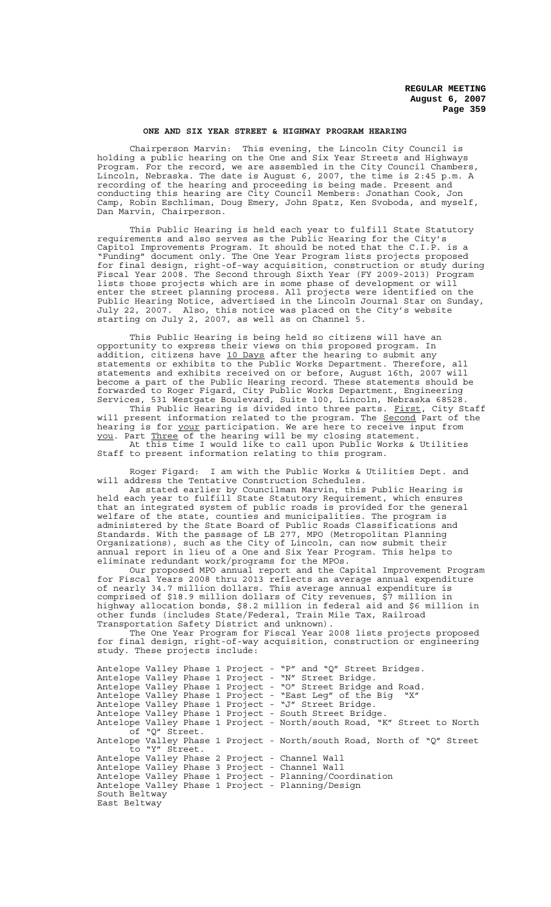#### **ONE AND SIX YEAR STREET & HIGHWAY PROGRAM HEARING**

Chairperson Marvin: This evening, the Lincoln City Council is holding a public hearing on the One and Six Year Streets and Highways Program. For the record, we are assembled in the City Council Chambers, Lincoln, Nebraska. The date is August 6, 2007, the time is 2:45 p.m. A recording of the hearing and proceeding is being made. Present and conducting this hearing are City Council Members: Jonathan Cook, Jon Camp, Robin Eschliman, Doug Emery, John Spatz, Ken Svoboda, and myself, Dan Marvin, Chairperson.

This Public Hearing is held each year to fulfill State Statutory requirements and also serves as the Public Hearing for the City's Capitol Improvements Program. It should be noted that the C.I.P. is a "Funding" document only. The One Year Program lists projects proposed for final design, right-of-way acquisition, construction or study during Fiscal Year 2008. The Second through Sixth Year (FY 2009-2013) Program lists those projects which are in some phase of development or will enter the street planning process. All projects were identified on the Public Hearing Notice, advertised in the Lincoln Journal Star on Sunday, July 22, 2007. Also, this notice was placed on the City's website starting on July 2, 2007, as well as on Channel 5.

This Public Hearing is being held so citizens will have an opportunity to express their views on this proposed program. In addition, citizens have 10 Days after the hearing to submit any statements or exhibits to the Public Works Department. Therefore, all statements and exhibits received on or before, August 16th, 2007 will become a part of the Public Hearing record. These statements should be forwarded to Roger Figard, City Public Works Department, Engineering Services, 531 Westgate Boulevard, Suite 100, Lincoln, Nebraska 68528.

This Public Hearing is divided into three parts. First, City Staff will present information related to the program. The Second Part of the hearing is for your participation. We are here to receive input from you. Part Three of the hearing will be my closing statement. At this time I would like to call upon Public Works & Utilities

Staff to present information relating to this program.

Roger Figard: I am with the Public Works & Utilities Dept. and will address the Tentative Construction Schedules.

As stated earlier by Councilman Marvin, this Public Hearing is held each year to fulfill State Statutory Requirement, which ensures that an integrated system of public roads is provided for the general welfare of the state, counties and municipalities. The program is administered by the State Board of Public Roads Classifications and Standards. With the passage of LB 277, MPO (Metropolitan Planning Organizations), such as the City of Lincoln, can now submit their annual report in lieu of a One and Six Year Program. This helps to eliminate redundant work/programs for the MPOs.

Our proposed MPO annual report and the Capital Improvement Program for Fiscal Years 2008 thru 2013 reflects an average annual expenditure of nearly 34.7 million dollars. This average annual expenditure is comprised of \$18.9 million dollars of City revenues, \$7 million in highway allocation bonds, \$8.2 million in federal aid and \$6 million in other funds (includes State/Federal, Train Mile Tax, Railroad Transportation Safety District and unknown).

The One Year Program for Fiscal Year 2008 lists projects proposed for final design, right-of-way acquisition, construction or engineering study. These projects include:

```
Antelope Valley Phase 1 Project - "P" and "Q" Street Bridges.
Antelope Valley Phase 1 Project - "N" Street Bridge.
Antelope Valley Phase 1 Project - "O" Street Bridge and Road.
Antelope Valley Phase 1 Project - "East Leg" of the Big "X" 
Antelope Valley Phase 1 Project - "J" Street Bridge.
Antelope Valley Phase 1 Project - South Street Bridge.
Antelope Valley Phase 1 Project - North/south Road, "K" Street to North
     of "Q" Street.
Antelope Valley Phase 1 Project - North/south Road, North of "Q" Street
     to "Y" Street.
Antelope Valley Phase 2 Project - Channel Wall
Antelope Valley Phase 3 Project - Channel Wall
Antelope Valley Phase 1 Project - Planning/Coordination
Antelope Valley Phase 1 Project - Planning/Design
South Beltway
East Beltway
```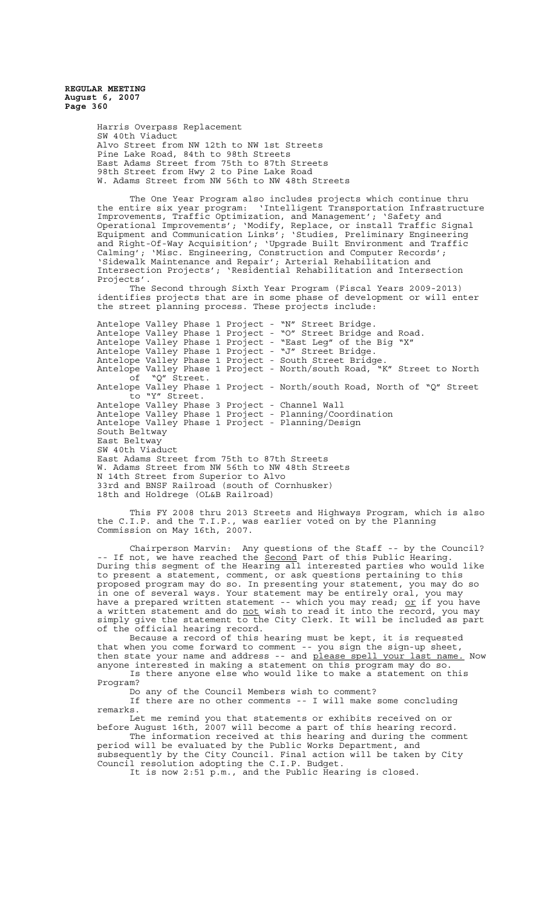> Harris Overpass Replacement SW 40th Viaduct Alvo Street from NW 12th to NW 1st Streets Pine Lake Road, 84th to 98th Streets East Adams Street from 75th to 87th Streets 98th Street from Hwy 2 to Pine Lake Road W. Adams Street from NW 56th to NW 48th Streets

The One Year Program also includes projects which continue thru the entire six year program: 'Intelligent Transportation Infrastructure Improvements, Traffic Optimization, and Management'; 'Safety and Operational Improvements'; 'Modify, Replace, or install Traffic Signal Equipment and Communication Links'; 'Studies, Preliminary Engineering and Right-Of-Way Acquisition'; 'Upgrade Built Environment and Traffic Calming'; 'Misc. Engineering, Construction and Computer Records'; 'Sidewalk Maintenance and Repair'; Arterial Rehabilitation and Intersection Projects'; 'Residential Rehabilitation and Intersection Projects'.

The Second through Sixth Year Program (Fiscal Years 2009-2013) identifies projects that are in some phase of development or will enter the street planning process. These projects include:

Antelope Valley Phase 1 Project - "N" Street Bridge. Antelope Valley Phase 1 Project - "O" Street Bridge and Road. Antelope Valley Phase 1 Project - "East Leg" of the Big "X" Antelope Valley Phase 1 Project - "J" Street Bridge. Antelope Valley Phase 1 Project - South Street Bridge. Antelope Valley Phase 1 Project - North/south Road, "K" Street to North of "Q" Street. Antelope Valley Phase 1 Project - North/south Road, North of "Q" Street to "Y" Street. Antelope Valley Phase 3 Project - Channel Wall Antelope Valley Phase 1 Project - Planning/Coordination Antelope Valley Phase 1 Project - Planning/Design South Beltway East Beltway SW 40th Viaduct East Adams Street from 75th to 87th Streets W. Adams Street from NW 56th to NW 48th Streets N 14th Street from Superior to Alvo 33rd and BNSF Railroad (south of Cornhusker) 18th and Holdrege (OL&B Railroad)

This FY 2008 thru 2013 Streets and Highways Program, which is also the C.I.P. and the T.I.P., was earlier voted on by the Planning Commission on May 16th, 2007.

Chairperson Marvin: Any questions of the Staff -- by the Council? -- If not, we have reached the Second Part of this Public Hearing. During this segment of the Hearing all interested parties who would like to present a statement, comment, or ask questions pertaining to this proposed program may do so. In presenting your statement, you may do so in one of several ways. Your statement may be entirely oral, you may have a prepared written statement -- which you may read; or if you have a written statement and do not wish to read it into the record, you may simply give the statement to the City Clerk. It will be included as part of the official hearing record.

Because a record of this hearing must be kept, it is requested that when you come forward to comment -- you sign the sign-up sheet, then state your name and address -- and please spell your last name. Now anyone interested in making a statement on this program may do so.

Is there anyone else who would like to make a statement on this Program?

Do any of the Council Members wish to comment?

If there are no other comments -- I will make some concluding remarks.

Let me remind you that statements or exhibits received on or before August 16th, 2007 will become a part of this hearing record. The information received at this hearing and during the comment

period will be evaluated by the Public Works Department, and subsequently by the City Council. Final action will be taken by City Council resolution adopting the C.I.P. Budget.

It is now 2:51 p.m., and the Public Hearing is closed.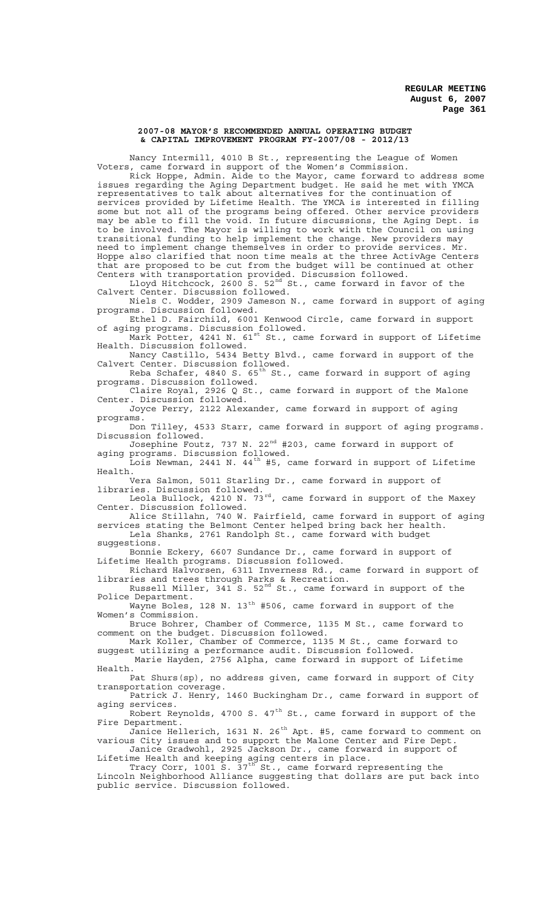#### **2007-08 MAYOR'S RECOMMENDED ANNUAL OPERATING BUDGET & CAPITAL IMPROVEMENT PROGRAM FY-2007/08 - 2012/13**

Nancy Intermill, 4010 B St., representing the League of Women Voters, came forward in support of the Women's Commission.

Rick Hoppe, Admin. Aide to the Mayor, came forward to address some issues regarding the Aging Department budget. He said he met with YMCA representatives to talk about alternatives for the continuation of services provided by Lifetime Health. The YMCA is interested in filling some but not all of the programs being offered. Other service providers may be able to fill the void. In future discussions, the Aging Dept. is to be involved. The Mayor is willing to work with the Council on using transitional funding to help implement the change. New providers may need to implement change themselves in order to provide services. Mr. Hoppe also clarified that noon time meals at the three ActivAge Centers that are proposed to be cut from the budget will be continued at other Centers with transportation provided. Discussion followed.

Lloyd Hitchcock, 2600 S. 52 $^{\text{nd}}$  St., came forward in favor of the Calvert Center. Discussion followed.

Niels C. Wodder, 2909 Jameson N., came forward in support of aging programs. Discussion followed. Ethel D. Fairchild, 6001 Kenwood Circle, came forward in support

of aging programs. Discussion followed. Mark Potter, 4241 N.  $61^{\rm st}$  St., came forward in support of Lifetime

Health. Discussion followed. Nancy Castillo, 5434 Betty Blvd., came forward in support of the

Calvert Center. Discussion followed. Reba Schafer, 4840 S. 65<sup>th</sup> St., came forward in support of aging

programs. Discussion followed. Claire Royal, 2926 Q St., came forward in support of the Malone

Center. Discussion followed. Joyce Perry, 2122 Alexander, came forward in support of aging

programs. Don Tilley, 4533 Starr, came forward in support of aging programs. Discussion followed.

Josephine Foutz, 737 N. 22<sup>nd</sup> #203, came forward in support of aging programs. Discussion followed.

Lois Newman, 2441 N. 44<sup>th</sup> #5, came forward in support of Lifetime Health.

Vera Salmon, 5011 Starling Dr., came forward in support of libraries. Discussion followed.

Leola Bullock, 4210 N. 73<sup>rd</sup>, came forward in support of the Maxey Center. Discussion followed.

Alice Stillahn, 740 W. Fairfield, came forward in support of aging services stating the Belmont Center helped bring back her health. Lela Shanks, 2761 Randolph St., came forward with budget suggestions.

Bonnie Eckery, 6607 Sundance Dr., came forward in support of Lifetime Health programs. Discussion followed.

Richard Halvorsen, 6311 Inverness Rd., came forward in support of libraries and trees through Parks & Recreation.

Russell Miller, 341 S. 52 $^{\rm nd}$  St., came forward in support of the Police Department.

Wayne Boles, 128 N.  $13<sup>th</sup>$  #506, came forward in support of the Women's Commission.

Bruce Bohrer, Chamber of Commerce, 1135 M St., came forward to comment on the budget. Discussion followed.

Mark Koller, Chamber of Commerce, 1135 M St., came forward to suggest utilizing a performance audit. Discussion followed. Marie Hayden, 2756 Alpha, came forward in support of Lifetime Health.

Pat Shurs(sp), no address given, came forward in support of City transportation coverage.

Patrick J. Henry, 1460 Buckingham Dr., came forward in support of aging services. Robert Reynolds, 4700 S.  $47<sup>th</sup>$  St., came forward in support of the

Fire Department.

Janice Hellerich, 1631 N. 26<sup>th</sup> Apt. #5, came forward to comment on various City issues and to support the Malone Center and Fire Dept. Janice Gradwohl, 2925 Jackson Dr., came forward in support of

Lifetime Health and keeping aging centers in place.

Tracy Corr, 1001 S.  $37^{\text{th}}$  St., came forward representing the Lincoln Neighborhood Alliance suggesting that dollars are put back into public service. Discussion followed.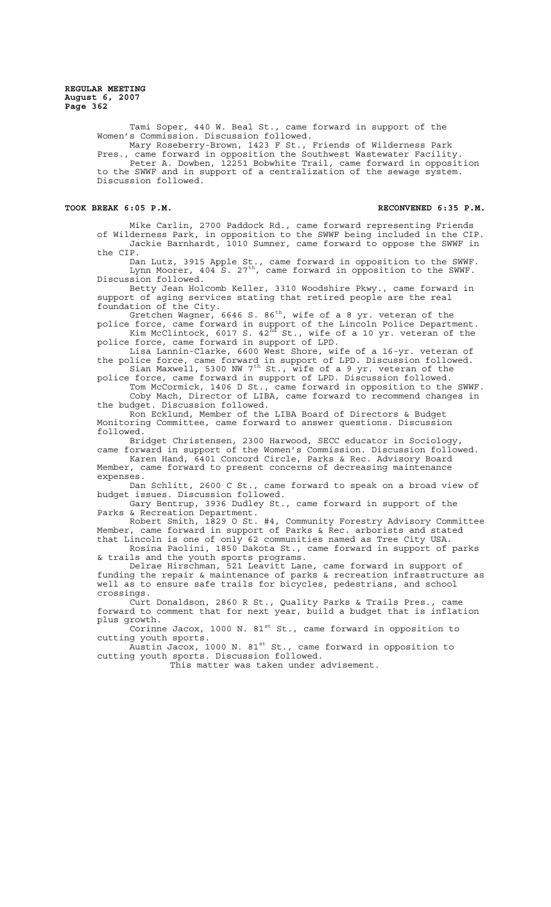> Tami Soper, 440 W. Beal St., came forward in support of the Women's Commission. Discussion followed. Mary Roseberry-Brown, 1423 F St., Friends of Wilderness Park

Pres., came forward in opposition the Southwest Wastewater Facility Peter A. Dowben, 12251 Bobwhite Trail, came forward in opposition to the SWWF and in support of a centralization of the sewage system. Discussion followed.

#### **TOOK BREAK 6:05 P.M. RECONVENED 6:35 P.M.**

Mike Carlin, 2700 Paddock Rd., came forward representing Friends of Wilderness Park, in opposition to the SWWF being included in the CIP. Jackie Barnhardt, 1010 Sumner, came forward to oppose the SWWF in the CIP.

Dan Lutz, 3915 Apple St., came forward in opposition to the SWWF. Lynn Moorer, 404 S. 27<sup>th</sup>, came forward in opposition to the SWWF. Discussion followed.

Betty Jean Holcomb Keller, 3310 Woodshire Pkwy., came forward in support of aging services stating that retired people are the real foundation of the City.

Gretchen Wagner, 6646 S. 86 $^{\rm th}$ , wife of a 8 yr. veteran of the

police force, came forward in support of the Lincoln Police Department. Kim McClintock, 6017 S.  $42^{\text{nd}}$  St., wife of a 10 yr. veteran of the police force, came forward in support of LPD.

Lisa Lannin-Clarke, 6600 West Shore, wife of a 16-yr. veteran of the police force, came forward in support of LPD. Discussion followed. Sian Maxwell, 5300 NW 7<sup>th</sup> St., wife of a 9 yr. veteran of the

police force, came forward in support of LPD. Discussion followed. Tom McCormick, 1406 D St., came forward in opposition to the SWWF.

Coby Mach, Director of LIBA, came forward to recommend changes in the budget. Discussion followed.

Ron Ecklund, Member of the LIBA Board of Directors & Budget Monitoring Committee, came forward to answer questions. Discussion followed.

Bridget Christensen, 2300 Harwood, SECC educator in Sociology, came forward in support of the Women's Commission. Discussion followed.

Karen Hand, 6401 Concord Circle, Parks & Rec. Advisory Board Member, came forward to present concerns of decreasing maintenance expenses.

Dan Schlitt, 2600 C St., came forward to speak on a broad view of budget issues. Discussion followed.

Gary Bentrup, 3936 Dudley St., came forward in support of the Parks & Recreation Department.

Robert Smith, 1829 O St. #4, Community Forestry Advisory Committee Member, came forward in support of Parks & Rec. arborists and stated that Lincoln is one of only 62 communities named as Tree City USA.

Rosina Paolini, 1850 Dakota St., came forward in support of parks & trails and the youth sports programs.

Delrae Hirschman, 521 Leavitt Lane, came forward in support of funding the repair & maintenance of parks & recreation infrastructure as well as to ensure safe trails for bicycles, pedestrians, and school crossings.

Curt Donaldson, 2860 R St., Quality Parks & Trails Pres., came forward to comment that for next year, build a budget that is inflation plus growth.

Corinne Jacox, 1000 N.  $81^{st}$  St., came forward in opposition to cutting youth sports.

 $\bar{\tilde{\lambda}}$ ustin Jacox, 1000 N. 81 $^{\rm st}$  St., came forward in opposition to cutting youth sports. Discussion followed.

This matter was taken under advisement.